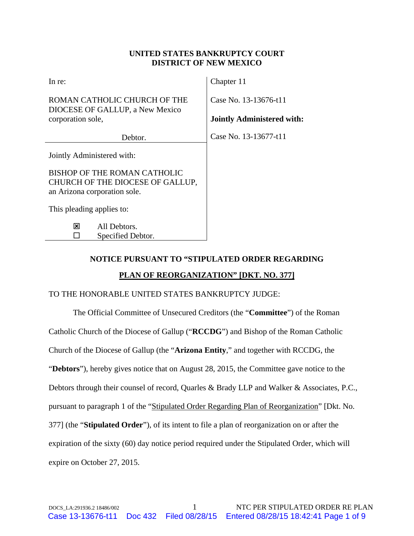### **UNITED STATES BANKRUPTCY COURT DISTRICT OF NEW MEXICO**

| In re:                                                                                           | Chapter 11                        |
|--------------------------------------------------------------------------------------------------|-----------------------------------|
| ROMAN CATHOLIC CHURCH OF THE<br>DIOCESE OF GALLUP, a New Mexico                                  | Case No. 13-13676-t11             |
| corporation sole,                                                                                | <b>Jointly Administered with:</b> |
| Debtor.                                                                                          | Case No. 13-13677-t11             |
| Jointly Administered with:                                                                       |                                   |
| BISHOP OF THE ROMAN CATHOLIC<br>CHURCH OF THE DIOCESE OF GALLUP,<br>an Arizona corporation sole. |                                   |
| This pleading applies to:                                                                        |                                   |
| All Debtors.<br>⊠<br>Specified Debtor.                                                           |                                   |

# **NOTICE PURSUANT TO "STIPULATED ORDER REGARDING PLAN OF REORGANIZATION" [DKT. NO. 377]**

### TO THE HONORABLE UNITED STATES BANKRUPTCY JUDGE:

The Official Committee of Unsecured Creditors (the "**Committee**") of the Roman Catholic Church of the Diocese of Gallup ("**RCCDG**") and Bishop of the Roman Catholic Church of the Diocese of Gallup (the "**Arizona Entity**," and together with RCCDG, the "**Debtors**"), hereby gives notice that on August 28, 2015, the Committee gave notice to the Debtors through their counsel of record, Quarles & Brady LLP and Walker & Associates, P.C., pursuant to paragraph 1 of the "Stipulated Order Regarding Plan of Reorganization" [Dkt. No. 377] (the "**Stipulated Order**"), of its intent to file a plan of reorganization on or after the expiration of the sixty (60) day notice period required under the Stipulated Order, which will expire on October 27, 2015.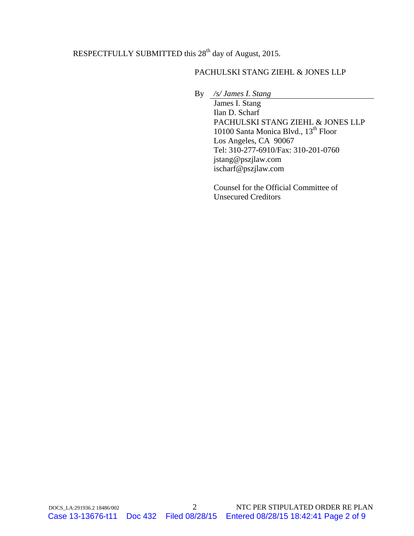# RESPECTFULLY SUBMITTED this 28<sup>th</sup> day of August, 2015.

## PACHULSKI STANG ZIEHL & JONES LLP

By */s/ James I. Stang* 

 James I. Stang Ilan D. Scharf PACHULSKI STANG ZIEHL & JONES LLP 10100 Santa Monica Blvd., 13<sup>th</sup> Floor Los Angeles, CA 90067 Tel: 310-277-6910/Fax: 310-201-0760 jstang@pszjlaw.com ischarf@pszjlaw.com

Counsel for the Official Committee of Unsecured Creditors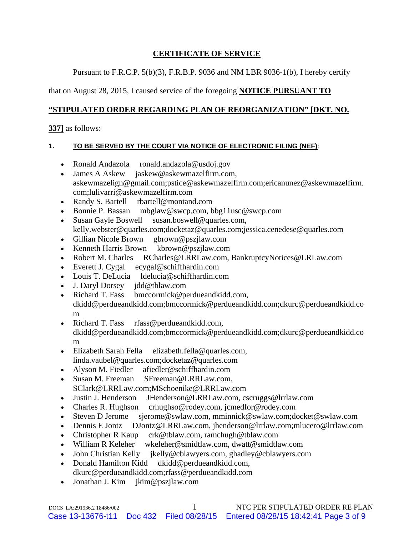## **CERTIFICATE OF SERVICE**

Pursuant to F.R.C.P. 5(b)(3), F.R.B.P. 9036 and NM LBR 9036-1(b), I hereby certify

# that on August 28, 2015, I caused service of the foregoing **NOTICE PURSUANT TO**

# **"STIPULATED ORDER REGARDING PLAN OF REORGANIZATION" [DKT. NO.**

**337]** as follows:

## **1. TO BE SERVED BY THE COURT VIA NOTICE OF ELECTRONIC FILING (NEF)**:

- Ronald Andazola ronald.andazola@usdoj.gov
- James A Askew jaskew@askewmazelfirm.com, askewmazelign@gmail.com;pstice@askewmazelfirm.com;ericanunez@askewmazelfirm. com;lulivarri@askewmazelfirm.com
- Randy S. Bartell rbartell@montand.com
- Bonnie P. Bassan mbglaw@swcp.com, bbg11usc@swcp.com
- Susan Gayle Boswell susan.boswell@quarles.com, kelly.webster@quarles.com;docketaz@quarles.com;jessica.cenedese@quarles.com
- Gillian Nicole Brown gbrown@pszjlaw.com
- Kenneth Harris Brown kbrown@pszjlaw.com
- Robert M. Charles RCharles@LRRLaw.com, BankruptcyNotices@LRLaw.com
- Everett J. Cygal ecygal@schiffhardin.com
- Louis T. DeLucia ldelucia@schiffhardin.com
- J. Daryl Dorsey jdd@tblaw.com
- Richard T. Fass bmccormick@perdueandkidd.com, dkidd@perdueandkidd.com;bmccormick@perdueandkidd.com;dkurc@perdueandkidd.co m
- Richard T. Fass rfass@perdueandkidd.com, dkidd@perdueandkidd.com;bmccormick@perdueandkidd.com;dkurc@perdueandkidd.co m
- Elizabeth Sarah Fella elizabeth.fella@quarles.com, linda.vaubel@quarles.com;docketaz@quarles.com
- Alyson M. Fiedler afiedler@schiffhardin.com
- Susan M. Freeman SFreeman@LRRLaw.com, SClark@LRRLaw.com;MSchoenike@LRRLaw.com
- Justin J. Henderson JHenderson@LRRLaw.com, cscruggs@lrrlaw.com
- Charles R. Hughson crhughso@rodey.com, jcmedfor@rodey.com
- Steven D Jerome sjerome@swlaw.com, mminnick@swlaw.com;docket@swlaw.com
- Dennis E Jontz DJontz@LRRLaw.com, jhenderson@lrrlaw.com;mlucero@lrrlaw.com
- Christopher R Kaup crk@tblaw.com, ramchugh@tblaw.com
- William R Keleher wkeleher@smidtlaw.com, dwatt@smidtlaw.com
- John Christian Kelly jkelly@cblawyers.com, ghadley@cblawyers.com
- Donald Hamilton Kidd dkidd@perdueandkidd.com, dkurc@perdueandkidd.com;rfass@perdueandkidd.com
- Jonathan J. Kim jkim@pszjlaw.com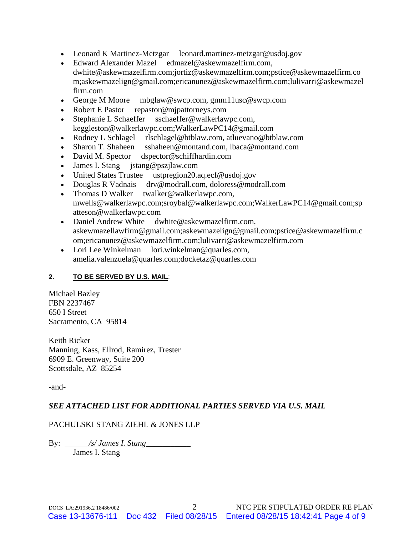- Leonard K Martinez-Metzgar leonard.martinez-metzgar@usdoj.gov
- Edward Alexander Mazel edmazel@askewmazelfirm.com, dwhite@askewmazelfirm.com;jortiz@askewmazelfirm.com;pstice@askewmazelfirm.co m;askewmazelign@gmail.com;ericanunez@askewmazelfirm.com;lulivarri@askewmazel firm.com
- George M Moore mbglaw@swcp.com, gmm11usc@swcp.com
- Robert E Pastor repastor@mjpattorneys.com
- Stephanie L Schaeffer sschaeffer@walkerlawpc.com, keggleston@walkerlawpc.com;WalkerLawPC14@gmail.com<br>• Rodney L Schlagel rlschlagel@btblaw.com, atluevano@btb
- rlschlagel@btblaw.com, atluevano@btblaw.com
- Sharon T. Shaheen sshaheen@montand.com, lbaca@montand.com
- David M. Spector dspector@schiffhardin.com
- James I. Stang jstang@pszjlaw.com
- United States Trustee ustpregion20.aq.ecf@usdoj.gov
- Douglas R Vadnais drv@modrall.com, doloress@modrall.com
- Thomas D Walker twalker@walkerlawpc.com, mwells@walkerlawpc.com;sroybal@walkerlawpc.com;WalkerLawPC14@gmail.com;sp atteson@walkerlawpc.com
- Daniel Andrew White dwhite@askewmazelfirm.com, askewmazellawfirm@gmail.com;askewmazelign@gmail.com;pstice@askewmazelfirm.c om;ericanunez@askewmazelfirm.com;lulivarri@askewmazelfirm.com
- Lori Lee Winkelman lori.winkelman@quarles.com, amelia.valenzuela@quarles.com;docketaz@quarles.com

### **2. TO BE SERVED BY U.S. MAIL**:

Michael Bazley FBN 2237467 650 I Street Sacramento, CA 95814

Keith Ricker Manning, Kass, Ellrod, Ramirez, Trester 6909 E. Greenway, Suite 200 Scottsdale, AZ 85254

-and-

### *SEE ATTACHED LIST FOR ADDITIONAL PARTIES SERVED VIA U.S. MAIL*

### PACHULSKI STANG ZIEHL & JONES LLP

By: */s/ James I. Stang*\_\_\_\_\_\_\_\_\_\_\_ James I. Stang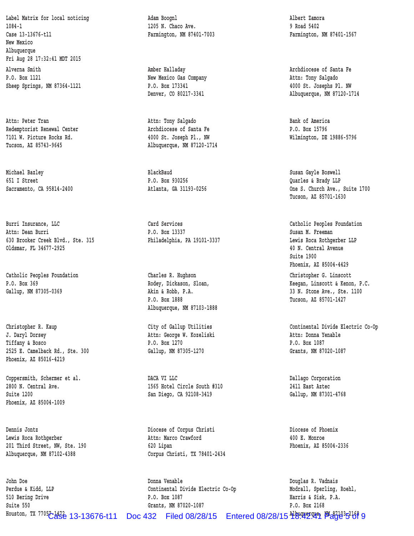**Label Matrix for local noticing Adam Boognl Albert Zamora 1084-1 1205 N. Chaco Ave. 9 Road 5402 Case 13-13676-t11 Farmington, NM 87401-7003 Farmington, NM 87401-1567 New Mexico Albuquerque Fri Aug 28 17:32:41 MDT 2015** Alverna Smith **Amber Halladay** Amber Halladay **Amber Halladay** Archdiocese of Santa Fe P.O. Box 1121 **New Mexico Gas Company Attn: Tony Salgado** P.O. Box 1121  **Sheep Springs, NM 87364-1121 P.O. Box 173341 4000 St. Josephs Pl. NW**

Attn: Peter Tran **Bank of America Attn: Tony Salgado Bank of America Redemptorist Renewal Center Archdiocese of Santa Fe P.O. Box 15796 7101 W. Picture Rocks Rd. 4000 St. Joseph Pl., NW Wilmington, DE 19886-5796**

 **Michael Bazley BlackBaud Susan Gayle Boswell 651 I Street P.O. Box 930256 Quarles & Brady LLP**

Burri Insurance, LLC **Carl Card Services** Card Services Catholic Peoples Foundation  **Attn: Dean Burri P.O. Box 13337 Susan M. Freeman** 630 Brooker Creek Blvd., Ste. 315 **Philadelphia, PA 19101-3337** Lewis Roca Rothgerber LLP  **Oldsmar, FL 34677-2925 40 N. Central Avenue**

 **Catholic Peoples Foundation Charles R. Hughson Christopher G. Linscott**

 **J. Daryl Dorsey Attn: George W. Kozeliski Attn: Donna Yenable Tiffany & Bosco P.O. Box 1270 P.O. Box 1087 2525 E. Camelback Rd., Ste. 300 Gallup, NM 87305-1270 Grants, NM 87020-1087 Phoenix, AZ 85016-4219**

 **Phoenix, AZ 85004-1009**

 **Lewis Roca Rothgerber Attn: Marco Crawford 400 E. Monroe 201 Third Street, NW, Ste. 190 620 Lipan Phoenix, AZ 85004-2336 Albuquerque, NM 87102-4388 Corpus Christi, TX 78401-2434**

 **John Doe Donna Venable Douglas R. Vadnais Perdue & Kidd, LLP Continental Divide Electric Co-Op Modrall, Sperling, Roehl, 510 Bering Drive P.O. Box 1087 Harris & Sisk, P.A. Suite 550 Grants, NM 87020-1087 P.O. Box 2168** Houston, TX 7705<del>7 1432</del> 13-13676-t11 Doc 432 Filed 08/28/15 Entered 08/28/15 世紀四空 <sup>四</sup>紀23525 8

 **Tucson, AZ 85743-9645 Albuquerque, NM 87120-1714**

 **P.O. Box 1888 Tucson, AZ 85701-1427 Albuquerque, NM 87103-1888**

**Coppersmith, Schermer et al. DACA VI LLC Corporation DALLAGO Corporation 2800 N. Central Ave. 1565 Hotel Circle South #310 2411 East Aztec Suite 1200 San Diego, CA 92108-3419 Gallup, NM 87301-4768**

 **Dennis Jontz Diocese of Corpus Christi Diocese of Phoenix**

 **Denver, CO 80217-3341 Albuquerque, NM 87120-1714**

 **Sacramento, CA 95814-2400 Atlanta, GA 31193-0256 One S. Church Ave., Suite 1700 Tucson, AZ 85701-1630**

 **Suite 1900 Phoenix, AZ 85004-4429**

 **P.O. Box 369 Rodey, Dickason, Sloan, Keegan, Linscott & Kenon, P.C. Gallup, NM 87305-0369 Akin & Robb, P.A. 33 N. Stone Ave., Ste. 1100**

Christopher R. Kaup **Christopher R. Kaup City of Gallup Utilities** Continental Divide Electric Co-Op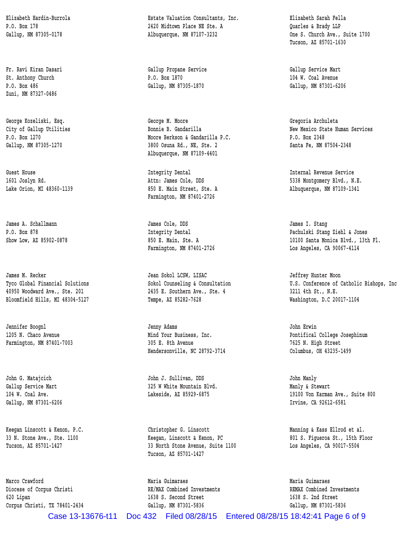**Zuni, NM 87327-0486**

 **James M. Recker Jean Sokol LCSW, LISAC Jeffrey Hunter Moon**

 **Jennifer Boognl Jenny Adams John Erwin**

 **Marco Crawford Maria Guimaraes Maria Guimaraes Diocese of Corpus Christi RE/MAX Combined Investments REMAX Combined Investments 620 Lipan 1638 S. Second Street 1638 S. 2nd Street Corpus Christi, TX 78401-2434 Gallup, NM 87301-5836 Gallup, NM 87301-5836**

 **Elizabeth Hardin-Burrola Estate Valuation Consultants, Inc. Elizabeth Sarah Fella P.O. Box 178 2420 Midtown Place NE Ste. A Quarles & Brady LLP** Gallup, NM 87305-0178 **Albuquerque, NM 87107-3232** One S. Church Ave., Suite 1700

 **Fr. Ravi Kiran Dasari Gallup Propane Service Gallup Service Mart St. Anthony Church P.O. Box 1870 104 W. Coal Avenue P.O. Box 486 Gallup, NM 87305-1870 Gallup, NM 87301-6206**

 **George Kozeliski, Esq. George M. Moore Gregoria Archuleta P.O. Box 1270 Moore Berkson & Gandarilla P.C. P.O. Box 2348 Gallup, NM 87305-1270 3800 Osuna Rd., NE, Ste. 2 Santa Fe, NM 87504-2348 Albuquerque, NM 87109-4401**

 **1601 Joslyn Rd. Attn: James Cole, DDS 5338 Montgomery Blvd., N.E.** Lake Orion, MI 48360-1139 **850 E. Main Street, Ste. A** Albuquerque, NM 87109-1341  **Farmington, NM 87401-2726**

 **James A. Schallmann James Cole, DDS James I. Stang**

 **40950 Woodward Ave., Ste. 201 2435 E. Southern Ave., Ste. 4 3211 4th St., N.E. Bloomfield Hills, MI 48304-5127 Tempe, AZ 85282-7628 Washington, D.C 20017-1104**

 **Farmington, NM 87401-7003 305 E. 8th Avenue 7625 N. High Street Hendersonville, NC 28792-3714 Columbus, OH 43235-1499**

 **John G. Matajcich John J. Sullivan, DDS John Manly** Gallup Service Mart **325 W** White Mountain Blvd. Manly & Stewart

 **Keegan Linscott & Kenon, P.C. Christopher G. Linscott Manning & Kass Ellrod et al. 33 N. Stone Ave., Ste. 1100 Keegan, Linscott & Kenon, PC 801 S. Figueroa St., 15th Floor Tucson, AZ 85701-1427 33 North Stone Avenue, Suite 1100 Los Angeles, CA 90017-5504 Tucson, AZ 85701-1427**

 **Tucson, AZ 85701-1630**

City of Gallup Utilities **Bonnie B. Gandarilla** New Mexico State Human Services

 **Guest House Integrity Dental Internal Revenue Service**

 **P.O. Box 878 Integrity Dental Pachulski Stang Ziehl & Jones** Show Low, AZ 85902-0878 850 E. Main, Ste. A 10100 Santa Monica Blvd., 13th Fl. Farmington, NM 87401-2726 Los Angeles, CA 90067-4114

 **Tyco Global Financial Solutions Sokol Counseling & Consultation U.S. Conference of Catholic Bishops, Inc**

 **1205 N. Chaco Avenue Mind Your Business, Inc. Pontifical College Josephinum**

 **104 W. Coal Ave. Lakeside, AZ 85929-6875 19100 Von Karman Ave., Suite 800 Gallup, NM 87301-6206 Irvine, CA 92612-6581**

Case 13-13676-t11 Doc 432 Filed 08/28/15 Entered 08/28/15 18:42:41 Page 6 of 9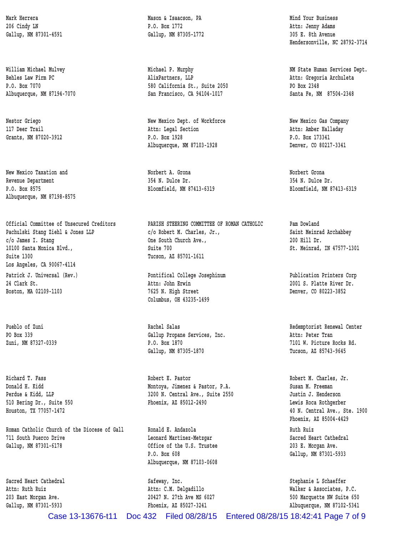**Revenue Department 354 N. Dulce Dr. 354 N. Dulce Dr. P.O. Box 8575 Bloomfield, NM 87413-6319 Bloomfield, NM 87413-6319 Albuquerque, NM 87198-8575**

 **Suite 1300 Tucson, AZ 85701-1611 Los Angeles, CA 90067-4114** Patrick J. Universal (Rev.) **Pontifical College Josephinum** Publication Printers Corp  **24 Clark St. Attn: John Erwin 2001 S. Platte River Dr.**

**Roman Catholic Church of the Diocese of Gall Ronald E. Andazola Ruth Ruiz 711 South Puerco Drive Leonard Martinez-Metzgar Sacred Heart Cathedral** Gallup, NM 87301-6178 **Callup, NM 87301-6178** Callup, NM 87301-6178

Mark Herrera **Mason & Isaacson, PA** Mind Your Business **Mason & Isaacson, PA** Mind Your Business  **206 Cindy LN P.O. Box 1772 Attn: Jenny Adams Gallup, NM 87301-4591 Gallup, NM 87305-1772 305 E. 8th Avenue**

William Michael Mulvey **Michael P. Murphy NM State Human Services Dept. Behles Law Firm PC AlixPartners, LLP Attn: Gregoria Archuleta P.O. Box 7070 580 California St., Suite 2050 PO Box 2348 Albuquerque, NM 87194-7070 San Francisco, CA 94104-1017 Santa Fe, NM 87504-2348**

 **Nestor Griego New Mexico Dept. of Workforce New Mexico Gas Company 117 Deer Trail Attn: Legal Section Attn: Amber Halladay Grants, NM 87020-3912 P.O. Box 1928 P.O. Box 173341 Albuquerque, NM 87103-1928 Denver, CO 80217-3341**

 **New Mexico Taxation and Norbert A. Grona Norbert Grona**

 **Official Committee of Unsecured Creditors PARISH STEERING COMMITTEE OF ROMAN CATHOLIC Pam Dowland** Pachulski Stang Ziehl & Jones LLP **c/o Robert M. Charles, Jr.,** Saint Meinrad Archabbey  **c/o James I. Stang One South Church Ave., 200 Hill Dr. 10100 Santa Monica Blvd., Suite 700 St. Meinrad, IN 47577-1301**

 **Boston, MA 02109-1103 7625 N. High Street Denver, CO 80223-3852 Columbus, OH 43235-1499**

 **PO Box 339 Gallup Propane Services, Inc. Attn: Peter Tran Zuni, NM 87327-0339 P.O. Box 1870 7101 W. Picture Rocks Rd.** Gallup, NM 87305-1870 Tucson, AZ 85743-9645

 **Richard T. Fass Robert E. Pastor Robert M. Charles, Jr. Donald H. Kidd Montoya, Jimenez & Pastor, P.A. Susan M. Freeman** Perdue & Kidd, LLP **3200 N.** Central Ave., Suite 2550 Justin J. Henderson  **510 Bering Dr., Suite 550 Phoenix, AZ 85012-2490 Lewis Roca Rothgerber**

> **P.O. Box 608 Gallup, NM 87301-5933 Albuquerque, NM 87103-0608**

Sacred Heart Cathedral **Safeway, Inc.** Safeway, Inc. Stephanie L Schaeffer

 **Hendersonville, NC 28792-3714**

 **Pueblo of Zuni Rachel Salas Redemptorist Renewal Center**

 **Houston, TX 77057-1472 40 N. Central Ave., Ste. 1900 Phoenix, AZ 85004-4429**

 **Attn: Ruth Ruiz Attn: C.M. Delgadillo Walker & Associates, P.C. 203 East Morgan Ave. 20427 N. 27th Ave MS 6027 500 Marquette NW Suite 650 Gallup, NM 87301-5933 Phoenix, AZ 85027-3241 Albuquerque, NM 87102-5341**

Case 13-13676-t11 Doc 432 Filed 08/28/15 Entered 08/28/15 18:42:41 Page 7 of 9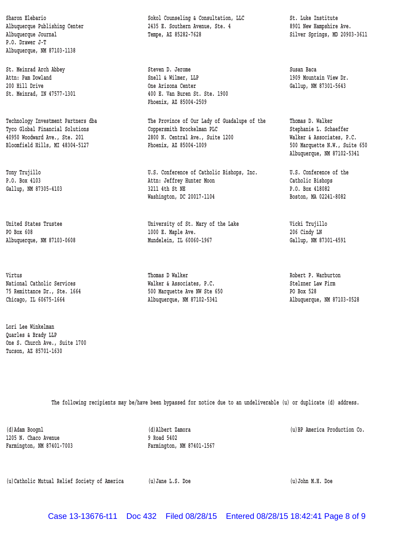**P.O. Drawer J-T Albuquerque, NM 87103-1138**

 **Virtus Thomas D Walker Robert P. Warburton**

 **Lori Lee Winkelman Quarles & Brady LLP One S. Church Ave., Suite 1700 Tucson, AZ 85701-1630**

Sharon Elebario **Sharon Sokol Counseling & Consultation, LLC** St. Luke Institute Albuquerque Publishing Center 2435 E. Southern Avenue, Ste. 4 8901 New Hampshire Ave.  **Albuquerque Journal Tempe, AZ 85282-7628 Silver Springs, MD 20903-3611**

 **St. Meinrad Arch Abbey Steven D. Jerome Susan Baca Attn: Pam Dowland Snell & Wilmer, LLP 1909 Mountain View Dr. 200 Hill Drive One Arizona Center Gallup, NM 87301-5643 St. Meinrad, IN 47577-1301 400 E. Van Buren St. Ste. 1900 Phoenix, AZ 85004-2509**

 **Technology Investment Partners dba The Province of Our Lady of Guadalupe of the Thomas D. Walker Tyco Global Financial Solutions Coppersmith Brockelman PLC Stephanie L. Schaeffer 40950 Woodward Ave., Ste. 201 2800 N. Central Ave., Suite 1200 Walker & Associates, P.C. Bloomfield Hills, MI 48304-5127 Phoenix, AZ 85004-1009 500 Marquette N.W., Suite 650**

 **Tony Trujillo U.S. Conference of Catholic Bishops, Inc. U.S. Conference of the P.O. Box 4103 Attn: Jeffrey Hunter Moon Catholic Bishops** Gallup, NM 87305-4103 **3211 4th St NE P.O. Box 418082** Washington, DC 20017-1104 Boston, MA 02241-8082

 **United States Trustee University of St. Mary of the Lake Vicki Trujillo PO Box 608 1000 E. Maple Ave. 206 Cindy LN Albuquerque, NM 87103-0608 Mundelein, IL 60060-1967 Gallup, NM 87301-4591**

National Catholic Services **Malker & Associates, P.C.** Stelzner Law Firm  **75 Remittance Dr., Ste. 1664 500 Marquette Ave NW Ste 650 PO Box 528 Chicago, IL 60675-1664 Albuquerque, NM 87102-5341 Albuquerque, NM 87103-0528**

 **Albuquerque, NM 87102-5341**

 **The following recipients may be/have been bypassed for notice due to an undeliverable (u) or duplicate (d) address.**

 **1205 N. Chaco Avenue 9 Road 5402 Farmington, NM 87401-7003 Farmington, NM 87401-1567**

 **(d)Adam Boognl (d)Albert Zamora (u)BP America Production Co.**

 **(u)Catholic Mutual Relief Society of America (u)Jane L.S. Doe (u)John M.H. Doe**